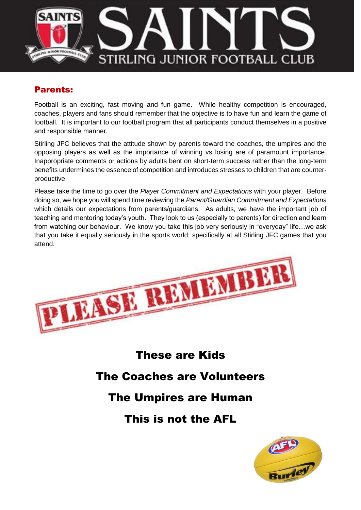

### Parents:

Football is an exciting, fast moving and fun game. While healthy competition is encouraged, coaches, players and fans should remember that the objective is to have fun and learn the game of football. It is important to our football program that all participants conduct themselves in a positive and responsible manner.

Stirling JFC believes that the attitude shown by parents toward the coaches, the umpires and the opposing players as well as the importance of winning vs losing are of paramount importance. Inappropriate comments or actions by adults bent on short-term success rather than the long-term benefits undermines the essence of competition and introduces stresses to children that are counterproductive.

Please take the time to go over the *Player Commitment and Expectations* with your player. Before doing so, we hope you will spend time reviewing the *Parent/Guardian Commitment and Expectations*  which details our expectations from parents/guardians. As adults, we have the important job of teaching and mentoring today's youth. They look to us (especially to parents) for direction and learn from watching our behaviour. We know you take this job very seriously in "everyday" life…we ask that you take it equally seriously in the sports world; specifically at all Stirling JFC games that you attend.



# These are Kids

# The Coaches are Volunteers

# The Umpires are Human

# This is not the AFL

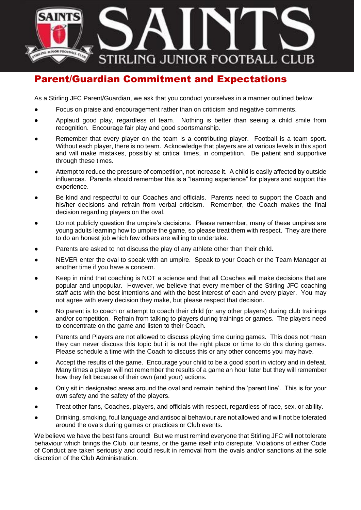

### Parent/Guardian Commitment and Expectations

As a Stirling JFC Parent/Guardian, we ask that you conduct yourselves in a manner outlined below:

- Focus on praise and encouragement rather than on criticism and negative comments.
- Applaud good play, regardless of team. Nothing is better than seeing a child smile from recognition. Encourage fair play and good sportsmanship.
- Remember that every player on the team is a contributing player. Football is a team sport. Without each player, there is no team. Acknowledge that players are at various levels in this sport and will make mistakes, possibly at critical times, in competition. Be patient and supportive through these times.
- Attempt to reduce the pressure of competition, not increase it. A child is easily affected by outside influences. Parents should remember this is a "learning experience" for players and support this experience.
- Be kind and respectful to our Coaches and officials. Parents need to support the Coach and his/her decisions and refrain from verbal criticism. Remember, the Coach makes the final decision regarding players on the oval.
- Do not publicly question the umpire's decisions. Please remember, many of these umpires are young adults learning how to umpire the game, so please treat them with respect. They are there to do an honest job which few others are willing to undertake.
- Parents are asked to not discuss the play of any athlete other than their child.
- NEVER enter the oval to speak with an umpire. Speak to your Coach or the Team Manager at another time if you have a concern.
- Keep in mind that coaching is NOT a science and that all Coaches will make decisions that are popular and unpopular. However, we believe that every member of the Stirling JFC coaching staff acts with the best intentions and with the best interest of each and every player. You may not agree with every decision they make, but please respect that decision.
- No parent is to coach or attempt to coach their child (or any other players) during club trainings and/or competition. Refrain from talking to players during trainings or games. The players need to concentrate on the game and listen to their Coach.
- Parents and Players are not allowed to discuss playing time during games. This does not mean they can never discuss this topic but it is not the right place or time to do this during games. Please schedule a time with the Coach to discuss this or any other concerns you may have.
- Accept the results of the game. Encourage your child to be a good sport in victory and in defeat. Many times a player will not remember the results of a game an hour later but they will remember how they felt because of their own (and your) actions.
- Only sit in designated areas around the oval and remain behind the 'parent line'. This is for your own safety and the safety of the players.
- Treat other fans, Coaches, players, and officials with respect, regardless of race, sex, or ability.
- Drinking, smoking, foul language and antisocial behaviour are not allowed and will not be tolerated around the ovals during games or practices or Club events.

We believe we have the best fans around! But we must remind everyone that Stirling JFC will not tolerate behaviour which brings the Club, our teams, or the game itself into disrepute. Violations of either Code of Conduct are taken seriously and could result in removal from the ovals and/or sanctions at the sole discretion of the Club Administration.